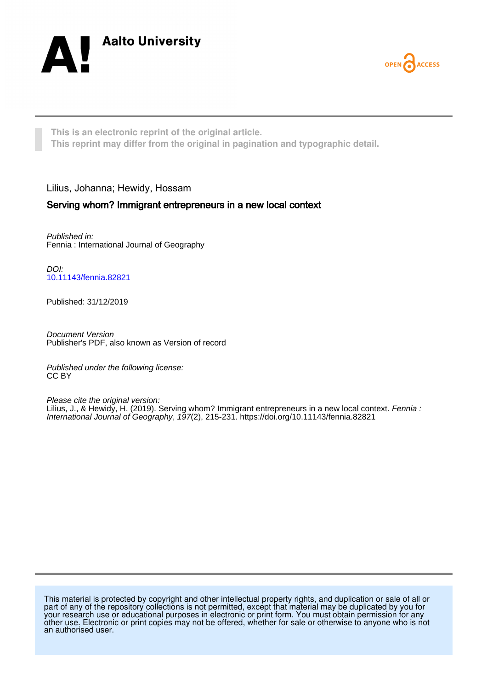



**This is an electronic reprint of the original article. This reprint may differ from the original in pagination and typographic detail.**

# Lilius, Johanna; Hewidy, Hossam

# Serving whom? Immigrant entrepreneurs in a new local context

Published in: Fennia : International Journal of Geography

DOI: [10.11143/fennia.82821](https://doi.org/10.11143/fennia.82821)

Published: 31/12/2019

Document Version Publisher's PDF, also known as Version of record

Published under the following license: CC BY

Please cite the original version: Lilius, J., & Hewidy, H. (2019). Serving whom? Immigrant entrepreneurs in a new local context. Fennia : International Journal of Geography, 197(2), 215-231.<https://doi.org/10.11143/fennia.82821>

This material is protected by copyright and other intellectual property rights, and duplication or sale of all or part of any of the repository collections is not permitted, except that material may be duplicated by you for your research use or educational purposes in electronic or print form. You must obtain permission for any other use. Electronic or print copies may not be offered, whether for sale or otherwise to anyone who is not an authorised user.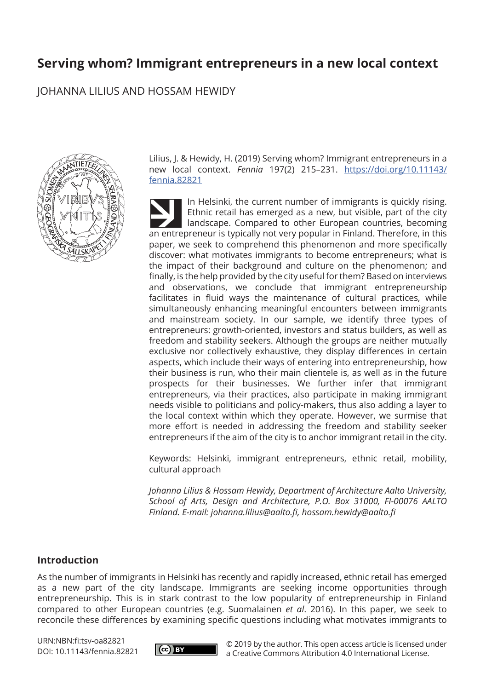# **Serving whom? Immigrant entrepreneurs in a new local context**

JOHANNA LILIUS AND HOSSAM HEWIDY



Lilius, J. & Hewidy, H. (2019) Serving whom? Immigrant entrepreneurs in a new local context. *Fennia* 197(2) 215–231. https://doi.org/10.11143/ fennia.82821

In Helsinki, the current number of immigrants is quickly rising. Ethnic retail has emerged as a new, but visible, part of the city landscape. Compared to other European countries, becoming an entrepreneur is typically not very popular in Finland. Therefore, in this paper, we seek to comprehend this phenomenon and more specifically discover: what motivates immigrants to become entrepreneurs; what is the impact of their background and culture on the phenomenon; and finally, is the help provided by the city useful for them? Based on interviews and observations, we conclude that immigrant entrepreneurship facilitates in fluid ways the maintenance of cultural practices, while simultaneously enhancing meaningful encounters between immigrants and mainstream society. In our sample, we identify three types of entrepreneurs: growth-oriented, investors and status builders, as well as freedom and stability seekers. Although the groups are neither mutually exclusive nor collectively exhaustive, they display differences in certain aspects, which include their ways of entering into entrepreneurship, how their business is run, who their main clientele is, as well as in the future prospects for their businesses. We further infer that immigrant entrepreneurs, via their practices, also participate in making immigrant needs visible to politicians and policy-makers, thus also adding a layer to the local context within which they operate. However, we surmise that more effort is needed in addressing the freedom and stability seeker entrepreneurs if the aim of the city is to anchor immigrant retail in the city.

Keywords: Helsinki, immigrant entrepreneurs, ethnic retail, mobility, cultural approach

*Johanna Lilius & Hossam Hewidy, Department of Architecture Aalto University, School of Arts, Design and Architecture, P.O. Box 31000, FI-00076 AALTO Finland. E-mail: johanna.lilius@aalto.fi, hossam.hewidy@aalto.fi*

# **Introduction**

As the number of immigrants in Helsinki has recently and rapidly increased, ethnic retail has emerged as a new part of the city landscape. Immigrants are seeking income opportunities through entrepreneurship. This is in stark contrast to the low popularity of entrepreneurship in Finland compared to other European countries (e.g. Suomalainen *et al*. 2016). In this paper, we seek to reconcile these differences by examining specific questions including what motivates immigrants to

URN:NBN:fi:tsv-oa82821 DOI: 10.11143/fennia.82821



© 2019 by the author. This open access article is licensed under a Creative Commons Attribution 4.0 International License.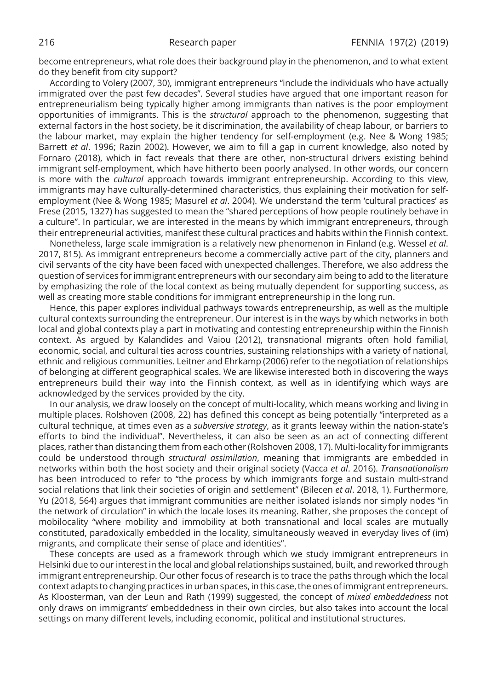become entrepreneurs, what role does their background play in the phenomenon, and to what extent do they benefit from city support?

According to Volery (2007, 30), immigrant entrepreneurs "include the individuals who have actually immigrated over the past few decades". Several studies have argued that one important reason for entrepreneurialism being typically higher among immigrants than natives is the poor employment opportunities of immigrants. This is the *structural* approach to the phenomenon, suggesting that external factors in the host society, be it discrimination, the availability of cheap labour, or barriers to the labour market, may explain the higher tendency for self-employment (e.g. Nee & Wong 1985; Barrett *et al*. 1996; Razin 2002). However, we aim to fill a gap in current knowledge, also noted by Fornaro (2018), which in fact reveals that there are other, non-structural drivers existing behind immigrant self-employment, which have hitherto been poorly analysed. In other words, our concern is more with the *cultural* approach towards immigrant entrepreneurship. According to this view, immigrants may have culturally-determined characteristics, thus explaining their motivation for selfemployment (Nee & Wong 1985; Masurel *et al*. 2004). We understand the term 'cultural practices' as Frese (2015, 1327) has suggested to mean the "shared perceptions of how people routinely behave in a culture". In particular, we are interested in the means by which immigrant entrepreneurs, through their entrepreneurial activities, manifest these cultural practices and habits within the Finnish context.

Nonetheless, large scale immigration is a relatively new phenomenon in Finland (e.g. Wessel *et al*. 2017, 815). As immigrant entrepreneurs become a commercially active part of the city, planners and civil servants of the city have been faced with unexpected challenges. Therefore, we also address the question of services for immigrant entrepreneurs with our secondary aim being to add to the literature by emphasizing the role of the local context as being mutually dependent for supporting success, as well as creating more stable conditions for immigrant entrepreneurship in the long run.

Hence, this paper explores individual pathways towards entrepreneurship, as well as the multiple cultural contexts surrounding the entrepreneur. Our interest is in the ways by which networks in both local and global contexts play a part in motivating and contesting entrepreneurship within the Finnish context. As argued by Kalandides and Vaiou (2012), transnational migrants often hold familial, economic, social, and cultural ties across countries, sustaining relationships with a variety of national, ethnic and religious communities. Leitner and Ehrkamp (2006) refer to the negotiation of relationships of belonging at different geographical scales. We are likewise interested both in discovering the ways entrepreneurs build their way into the Finnish context, as well as in identifying which ways are acknowledged by the services provided by the city.

In our analysis, we draw loosely on the concept of multi-locality, which means working and living in multiple places. Rolshoven (2008, 22) has defined this concept as being potentially "interpreted as a cultural technique, at times even as a *subversive strategy*, as it grants leeway within the nation-state's efforts to bind the individual". Nevertheless, it can also be seen as an act of connecting different places, rather than distancing them from each other (Rolshoven 2008, 17). Multi-locality for immigrants could be understood through *structural assimilation*, meaning that immigrants are embedded in networks within both the host society and their original society (Vacca *et al*. 2016). *Transnationalism* has been introduced to refer to "the process by which immigrants forge and sustain multi-strand social relations that link their societies of origin and settlement" (Bilecen *et al*. 2018, 1). Furthermore, Yu (2018, 564) argues that immigrant communities are neither isolated islands nor simply nodes "in the network of circulation" in which the locale loses its meaning. Rather, she proposes the concept of mobilocality "where mobility and immobility at both transnational and local scales are mutually constituted, paradoxically embedded in the locality, simultaneously weaved in everyday lives of (im) migrants, and complicate their sense of place and identities".

These concepts are used as a framework through which we study immigrant entrepreneurs in Helsinki due to our interest in the local and global relationships sustained, built, and reworked through immigrant entrepreneurship. Our other focus of research is to trace the paths through which the local context adapts to changing practices in urban spaces, in this case, the ones of immigrant entrepreneurs. As Kloosterman, van der Leun and Rath (1999) suggested, the concept of *mixed embeddedness* not only draws on immigrants' embeddedness in their own circles, but also takes into account the local settings on many different levels, including economic, political and institutional structures.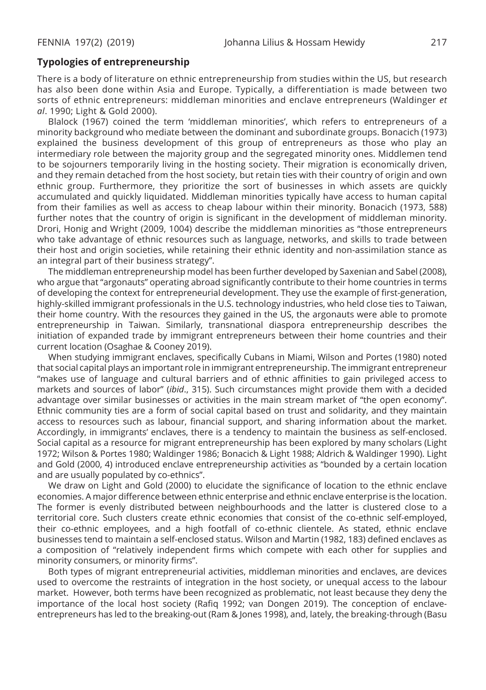#### **Typologies of entrepreneurship**

There is a body of literature on ethnic entrepreneurship from studies within the US, but research has also been done within Asia and Europe. Typically, a differentiation is made between two sorts of ethnic entrepreneurs: middleman minorities and enclave entrepreneurs (Waldinger *et al*. 1990; Light & Gold 2000).

Blalock (1967) coined the term 'middleman minorities', which refers to entrepreneurs of a minority background who mediate between the dominant and subordinate groups. Bonacich (1973) explained the business development of this group of entrepreneurs as those who play an intermediary role between the majority group and the segregated minority ones. Middlemen tend to be sojourners temporarily living in the hosting society. Their migration is economically driven, and they remain detached from the host society, but retain ties with their country of origin and own ethnic group. Furthermore, they prioritize the sort of businesses in which assets are quickly accumulated and quickly liquidated. Middleman minorities typically have access to human capital from their families as well as access to cheap labour within their minority. Bonacich (1973, 588) further notes that the country of origin is significant in the development of middleman minority. Drori, Honig and Wright (2009, 1004) describe the middleman minorities as "those entrepreneurs who take advantage of ethnic resources such as language, networks, and skills to trade between their host and origin societies, while retaining their ethnic identity and non-assimilation stance as an integral part of their business strategy".

The middleman entrepreneurship model has been further developed by Saxenian and Sabel (2008), who argue that "argonauts" operating abroad significantly contribute to their home countries in terms of developing the context for entrepreneurial development. They use the example of first-generation, highly-skilled immigrant professionals in the U.S. technology industries, who held close ties to Taiwan, their home country. With the resources they gained in the US, the argonauts were able to promote entrepreneurship in Taiwan. Similarly, transnational diaspora entrepreneurship describes the initiation of expanded trade by immigrant entrepreneurs between their home countries and their current location (Osaghae & Cooney 2019).

When studying immigrant enclaves, specifically Cubans in Miami, Wilson and Portes (1980) noted that social capital plays an important role in immigrant entrepreneurship. The immigrant entrepreneur "makes use of language and cultural barriers and of ethnic affinities to gain privileged access to markets and sources of labor" (*ibid*., 315). Such circumstances might provide them with a decided advantage over similar businesses or activities in the main stream market of "the open economy". Ethnic community ties are a form of social capital based on trust and solidarity, and they maintain access to resources such as labour, financial support, and sharing information about the market. Accordingly, in immigrants' enclaves, there is a tendency to maintain the business as self-enclosed. Social capital as a resource for migrant entrepreneurship has been explored by many scholars (Light 1972; Wilson & Portes 1980; Waldinger 1986; Bonacich & Light 1988; Aldrich & Waldinger 1990). Light and Gold (2000, 4) introduced enclave entrepreneurship activities as "bounded by a certain location and are usually populated by co-ethnics".

We draw on Light and Gold (2000) to elucidate the significance of location to the ethnic enclave economies. A major difference between ethnic enterprise and ethnic enclave enterprise is the location. The former is evenly distributed between neighbourhoods and the latter is clustered close to a territorial core. Such clusters create ethnic economies that consist of the co-ethnic self-employed, their co-ethnic employees, and a high footfall of co-ethnic clientele. As stated, ethnic enclave businesses tend to maintain a self-enclosed status. Wilson and Martin (1982, 183) defined enclaves as a composition of "relatively independent firms which compete with each other for supplies and minority consumers, or minority firms".

Both types of migrant entrepreneurial activities, middleman minorities and enclaves, are devices used to overcome the restraints of integration in the host society, or unequal access to the labour market. However, both terms have been recognized as problematic, not least because they deny the importance of the local host society (Rafiq 1992; van Dongen 2019). The conception of enclaveentrepreneurs has led to the breaking-out (Ram & Jones 1998), and, lately, the breaking-through (Basu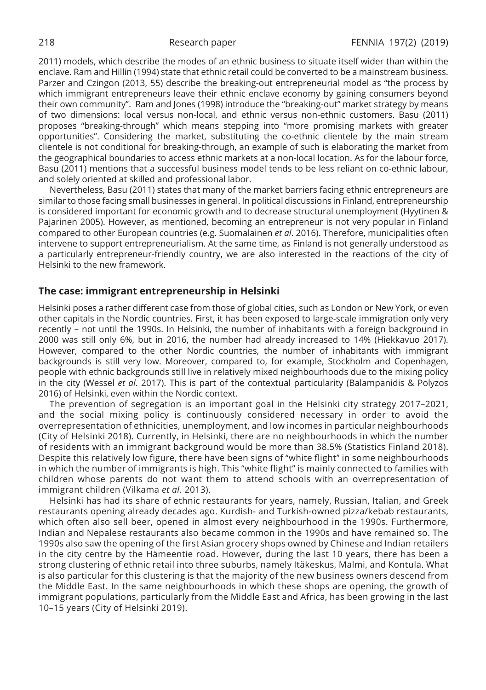2011) models, which describe the modes of an ethnic business to situate itself wider than within the enclave. Ram and Hillin (1994) state that ethnic retail could be converted to be a mainstream business. Parzer and Czingon (2013, 55) describe the breaking-out entrepreneurial model as "the process by which immigrant entrepreneurs leave their ethnic enclave economy by gaining consumers beyond their own community". Ram and Jones (1998) introduce the "breaking-out" market strategy by means of two dimensions: local versus non-local, and ethnic versus non-ethnic customers. Basu (2011) proposes "breaking-through" which means stepping into "more promising markets with greater opportunities". Considering the market, substituting the co-ethnic clientele by the main stream clientele is not conditional for breaking-through, an example of such is elaborating the market from the geographical boundaries to access ethnic markets at a non-local location. As for the labour force, Basu (2011) mentions that a successful business model tends to be less reliant on co-ethnic labour, and solely oriented at skilled and professional labor.

Nevertheless, Basu (2011) states that many of the market barriers facing ethnic entrepreneurs are similar to those facing small businesses in general. In political discussions in Finland, entrepreneurship is considered important for economic growth and to decrease structural unemployment (Hyytinen & Pajarinen 2005). However, as mentioned, becoming an entrepreneur is not very popular in Finland compared to other European countries (e.g. Suomalainen *et al*. 2016). Therefore, municipalities often intervene to support entrepreneurialism. At the same time, as Finland is not generally understood as a particularly entrepreneur-friendly country, we are also interested in the reactions of the city of Helsinki to the new framework.

# **The case: immigrant entrepreneurship in Helsinki**

Helsinki poses a rather different case from those of global cities, such as London or New York, or even other capitals in the Nordic countries. First, it has been exposed to large-scale immigration only very recently – not until the 1990s. In Helsinki, the number of inhabitants with a foreign background in 2000 was still only 6%, but in 2016, the number had already increased to 14% (Hiekkavuo 2017). However, compared to the other Nordic countries, the number of inhabitants with immigrant backgrounds is still very low. Moreover, compared to, for example, Stockholm and Copenhagen, people with ethnic backgrounds still live in relatively mixed neighbourhoods due to the mixing policy in the city (Wessel *et al*. 2017). This is part of the contextual particularity (Balampanidis & Polyzos 2016) of Helsinki, even within the Nordic context.

The prevention of segregation is an important goal in the Helsinki city strategy 2017–2021, and the social mixing policy is continuously considered necessary in order to avoid the overrepresentation of ethnicities, unemployment, and low incomes in particular neighbourhoods (City of Helsinki 2018). Currently, in Helsinki, there are no neighbourhoods in which the number of residents with an immigrant background would be more than 38.5% (Statistics Finland 2018). Despite this relatively low figure, there have been signs of "white flight" in some neighbourhoods in which the number of immigrants is high. This "white flight" is mainly connected to families with children whose parents do not want them to attend schools with an overrepresentation of immigrant children (Vilkama *et al*. 2013).

Helsinki has had its share of ethnic restaurants for years, namely, Russian, Italian, and Greek restaurants opening already decades ago. Kurdish- and Turkish-owned pizza/kebab restaurants, which often also sell beer, opened in almost every neighbourhood in the 1990s. Furthermore, Indian and Nepalese restaurants also became common in the 1990s and have remained so. The 1990s also saw the opening of the first Asian grocery shops owned by Chinese and Indian retailers in the city centre by the Hämeentie road. However, during the last 10 years, there has been a strong clustering of ethnic retail into three suburbs, namely Itäkeskus, Malmi, and Kontula. What is also particular for this clustering is that the majority of the new business owners descend from the Middle East. In the same neighbourhoods in which these shops are opening, the growth of immigrant populations, particularly from the Middle East and Africa, has been growing in the last 10–15 years (City of Helsinki 2019).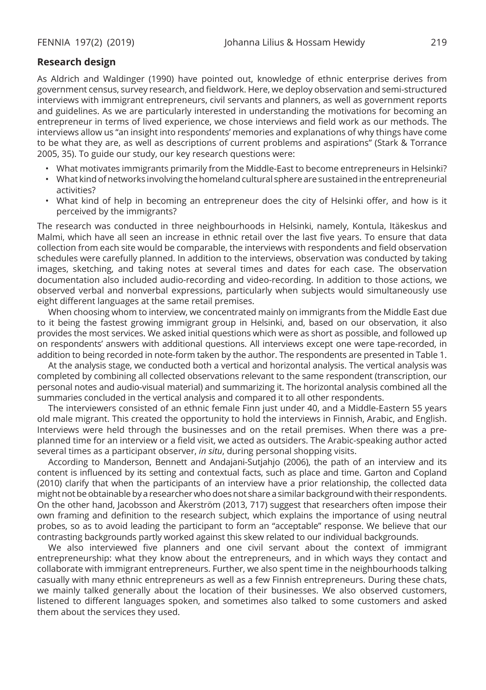### **Research design**

As Aldrich and Waldinger (1990) have pointed out, knowledge of ethnic enterprise derives from government census, survey research, and fieldwork. Here, we deploy observation and semi-structured interviews with immigrant entrepreneurs, civil servants and planners, as well as government reports and guidelines. As we are particularly interested in understanding the motivations for becoming an entrepreneur in terms of lived experience, we chose interviews and field work as our methods. The interviews allow us "an insight into respondents' memories and explanations of why things have come to be what they are, as well as descriptions of current problems and aspirations" (Stark & Torrance 2005, 35). To guide our study, our key research questions were:

- What motivates immigrants primarily from the Middle-East to become entrepreneurs in Helsinki?
- What kind of networks involving the homeland cultural sphere are sustained in the entrepreneurial activities?
- What kind of help in becoming an entrepreneur does the city of Helsinki offer, and how is it perceived by the immigrants?

The research was conducted in three neighbourhoods in Helsinki, namely, Kontula, Itäkeskus and Malmi, which have all seen an increase in ethnic retail over the last five years. To ensure that data collection from each site would be comparable, the interviews with respondents and field observation schedules were carefully planned. In addition to the interviews, observation was conducted by taking images, sketching, and taking notes at several times and dates for each case. The observation documentation also included audio-recording and video-recording. In addition to those actions, we observed verbal and nonverbal expressions, particularly when subjects would simultaneously use eight different languages at the same retail premises.

When choosing whom to interview, we concentrated mainly on immigrants from the Middle East due to it being the fastest growing immigrant group in Helsinki, and, based on our observation, it also provides the most services. We asked initial questions which were as short as possible, and followed up on respondents' answers with additional questions. All interviews except one were tape-recorded, in addition to being recorded in note-form taken by the author. The respondents are presented in Table 1.

At the analysis stage, we conducted both a vertical and horizontal analysis. The vertical analysis was completed by combining all collected observations relevant to the same respondent (transcription, our personal notes and audio-visual material) and summarizing it. The horizontal analysis combined all the summaries concluded in the vertical analysis and compared it to all other respondents.

The interviewers consisted of an ethnic female Finn just under 40, and a Middle-Eastern 55 years old male migrant. This created the opportunity to hold the interviews in Finnish, Arabic, and English. Interviews were held through the businesses and on the retail premises. When there was a preplanned time for an interview or a field visit, we acted as outsiders. The Arabic-speaking author acted several times as a participant observer, *in situ*, during personal shopping visits.

According to Manderson, Bennett and Andajani-Sutjahjo (2006), the path of an interview and its content is influenced by its setting and contextual facts, such as place and time. Garton and Copland (2010) clarify that when the participants of an interview have a prior relationship, the collected data might not be obtainable by a researcher who does not share a similar background with their respondents. On the other hand, Jacobsson and Åkerström (2013, 717) suggest that researchers often impose their own framing and definition to the research subject, which explains the importance of using neutral probes, so as to avoid leading the participant to form an "acceptable" response. We believe that our contrasting backgrounds partly worked against this skew related to our individual backgrounds.

We also interviewed five planners and one civil servant about the context of immigrant entrepreneurship: what they know about the entrepreneurs, and in which ways they contact and collaborate with immigrant entrepreneurs. Further, we also spent time in the neighbourhoods talking casually with many ethnic entrepreneurs as well as a few Finnish entrepreneurs. During these chats, we mainly talked generally about the location of their businesses. We also observed customers, listened to different languages spoken, and sometimes also talked to some customers and asked them about the services they used.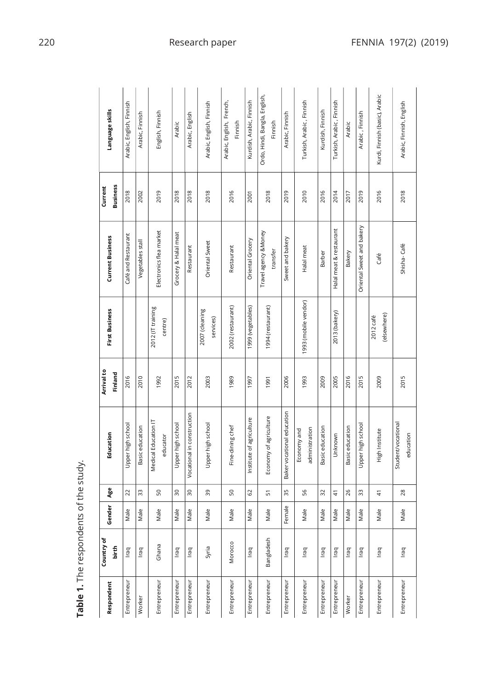|                                        | Language skills            | Arabic, English, Finnish | Arabic, Finnish  | English, Finnish                 | Arabic               | Arabic, English            | Arabic, English, Finnish    | Arabic, English, French,<br>Finnish | Kurdish, Arabic, Finnish | Ordo, Hindi, Bangla, English,<br>Finnish | Arabic, Finnish            | Turkish, Arabic, Finnish      | Kurdish, Finnish | Turkish, Arabic, Finnish | Arabic          | Arabic, Finnish           | Kurdi, Finnish (basic), Arabic | Arabic, Finnish, English        |
|----------------------------------------|----------------------------|--------------------------|------------------|----------------------------------|----------------------|----------------------------|-----------------------------|-------------------------------------|--------------------------|------------------------------------------|----------------------------|-------------------------------|------------------|--------------------------|-----------------|---------------------------|--------------------------------|---------------------------------|
|                                        | <b>Business</b><br>Current | 2018                     | 2002             | 2019                             | 2018                 | 2018                       | 2018                        | 2016                                | 2001                     | 2018                                     | 2019                       | 2010                          | 2016             | 2014                     | 2017            | 2019                      | 2016                           | 2018                            |
|                                        | <b>Current Business</b>    | Café and Restaurant      | Vegetables stall | Electronics flea market          | Grocery & Halal meat | Restaurant                 | Oriental Sweet              | Restaurant                          | Oriental Grocery         | Travel agency &Money<br>transfer         | Sweet and bakery           | Halal meat                    | Barber           | Halal meat & restaurant  | Bakery          | Oriental Sweet and bakery | Café                           | Shisha-Café                     |
|                                        | <b>First Business</b>      |                          |                  | 2012 (IT training<br>centre)     |                      |                            | 2007 (cleaning<br>services) | 2002 (restaurant)                   | 1999 (vegetables)        | 1994 (restaurant)                        |                            | 1993 (mobile vendor)          |                  | 2013 (bakery)            |                 |                           | (elsewhere)<br>2012 café       |                                 |
|                                        | Arrival to<br>Finland      | 2016                     | 2010             | 1992                             | 2015                 | 2012                       | 2003                        | 1989                                | 1997                     | 1991                                     | 2006                       | 1993                          | 2009             | 2005                     | 2016            | 2015                      | 2009                           | 2015                            |
|                                        | Education                  | Upper high school        | Basic education  | Medical Education IT<br>educator | Upper high school    | Vocational in construction | Upper high school           | Fine-dining chef                    | Institute of agriculture | Economy of agriculture                   | Baker vocational education | administration<br>Economy and | Basic education  | Unknown                  | Basic education | Upper high school         | High Institute                 | Student/vocational<br>education |
|                                        | Age                        | $\overline{c}$           | 33               | S0                               | $\approx$            | $\approx$                  | 39                          | SO                                  | 3                        | 57                                       | 35                         | 56                            | 32               | 4                        | 26              | 33                        | $\frac{4}{3}$                  | 28                              |
|                                        | Gender                     | Male                     | Male             | Male                             | Male                 | Male                       | Male                        | Male                                | Male                     | Male                                     | Female                     | Male                          | Male             | Male                     | Male            | Male                      | Male                           | Male                            |
| Table 1. The respondents of the study. | Country of<br>birth        | Iraq                     | Iraq             | Ghana                            | Iraq                 | Iraq                       | Syria                       | Morocco                             | Iraq                     | Bangladesh                               | Iraq                       | Iraq                          | Iraq             | Iraq                     | Iraq            | Iraq                      | Iraq                           | Iraq                            |
|                                        | Respondent                 | Entrepreneur             | Worker           | Entrepreneur                     | Entrepreneur         | Entrepreneur               | Entrepreneur                | Entrepreneur                        | Entrepreneur             | Entrepreneur                             | Entrepreneur               | Entrepreneur                  | Entrepreneur     | Entrepreneur             | Worker          | Entrepreneur              | Entrepreneur                   | Entrepreneur                    |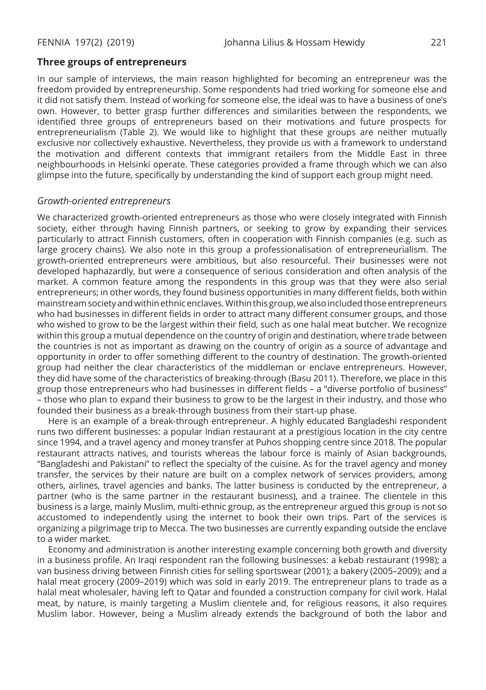### **Three groups of entrepreneurs**

In our sample of interviews, the main reason highlighted for becoming an entrepreneur was the freedom provided by entrepreneurship. Some respondents had tried working for someone else and it did not satisfy them. Instead of working for someone else, the ideal was to have a business of one's own. However, to better grasp further differences and similarities between the respondents, we identified three groups of entrepreneurs based on their motivations and future prospects for entrepreneurialism (Table 2). We would like to highlight that these groups are neither mutually exclusive nor collectively exhaustive. Nevertheless, they provide us with a framework to understand the motivation and different contexts that immigrant retailers from the Middle East in three neighbourhoods in Helsinki operate. These categories provided a frame through which we can also glimpse into the future, specifically by understanding the kind of support each group might need.

#### *Growth-oriented entrepreneurs*

We characterized growth-oriented entrepreneurs as those who were closely integrated with Finnish society, either through having Finnish partners, or seeking to grow by expanding their services particularly to attract Finnish customers, often in cooperation with Finnish companies (e.g. such as large grocery chains). We also note in this group a professionalisation of entrepreneurialism. The growth-oriented entrepreneurs were ambitious, but also resourceful. Their businesses were not developed haphazardly, but were a consequence of serious consideration and often analysis of the market. A common feature among the respondents in this group was that they were also serial entrepreneurs; in other words, they found business opportunities in many different fields, both within mainstream society and within ethnic enclaves. Within this group, we also included those entrepreneurs who had businesses in different fields in order to attract many different consumer groups, and those who wished to grow to be the largest within their field, such as one halal meat butcher. We recognize within this group a mutual dependence on the country of origin and destination, where trade between the countries is not as important as drawing on the country of origin as a source of advantage and opportunity in order to offer something different to the country of destination. The growth-oriented group had neither the clear characteristics of the middleman or enclave entrepreneurs. However, they did have some of the characteristics of breaking-through (Basu 2011). Therefore, we place in this group those entrepreneurs who had businesses in different fields – a "diverse portfolio of business" – those who plan to expand their business to grow to be the largest in their industry, and those who founded their business as a break-through business from their start-up phase.

Here is an example of a break-through entrepreneur. A highly educated Bangladeshi respondent runs two different businesses: a popular Indian restaurant at a prestigious location in the city centre since 1994, and a travel agency and money transfer at Puhos shopping centre since 2018. The popular restaurant attracts natives, and tourists whereas the labour force is mainly of Asian backgrounds, "Bangladeshi and Pakistani" to reflect the specialty of the cuisine. As for the travel agency and money transfer, the services by their nature are built on a complex network of services providers, among others, airlines, travel agencies and banks. The latter business is conducted by the entrepreneur, a partner (who is the same partner in the restaurant business), and a trainee. The clientele in this business is a large, mainly Muslim, multi-ethnic group, as the entrepreneur argued this group is not so accustomed to independently using the internet to book their own trips. Part of the services is organizing a pilgrimage trip to Mecca. The two businesses are currently expanding outside the enclave to a wider market.

Economy and administration is another interesting example concerning both growth and diversity in a business profile. An Iraqi respondent ran the following businesses: a kebab restaurant (1998); a van business driving between Finnish cities for selling sportswear (2001); a bakery (2005–2009); and a halal meat grocery (2009–2019) which was sold in early 2019. The entrepreneur plans to trade as a halal meat wholesaler, having left to Qatar and founded a construction company for civil work. Halal meat, by nature, is mainly targeting a Muslim clientele and, for religious reasons, it also requires Muslim labor. However, being a Muslim already extends the background of both the labor and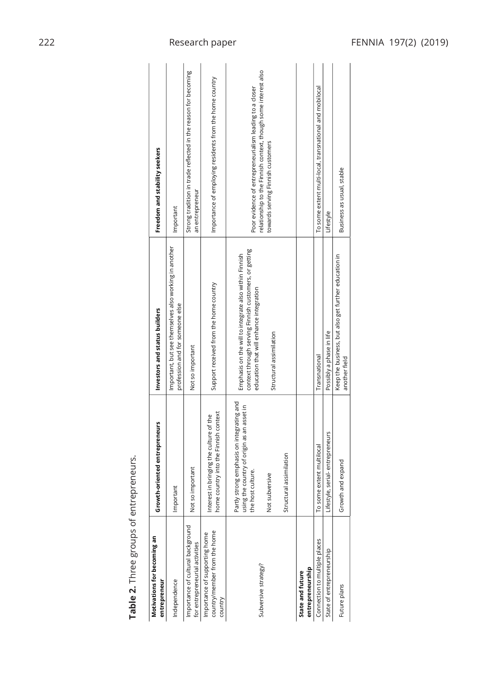| Table 2. Three groups of entrepreneurs.                                  |                                                                                                                 |                                                                                                                                                           |                                                                                                     |
|--------------------------------------------------------------------------|-----------------------------------------------------------------------------------------------------------------|-----------------------------------------------------------------------------------------------------------------------------------------------------------|-----------------------------------------------------------------------------------------------------|
| Motivations for becoming an<br>entrepreneur                              | Growth-oriented entrepreneurs                                                                                   | Investors and status builders                                                                                                                             | Freedom and stability seekers                                                                       |
| Independence                                                             | Important                                                                                                       | Important, but see themselves also working in another<br>profession and for someone else                                                                  | Important                                                                                           |
| Importance of cultural background<br>for entrepreneurial activities      | so important<br><b>S</b>                                                                                        | Not so important                                                                                                                                          | Strong tradition in trade reflected in the reason for becoming<br>an entrepreneur                   |
| country/member from the home<br>Importance of supporting home<br>country | home country into the Finnish context<br>Interest in bringing the culture of the                                | Support received from the home country                                                                                                                    | Importance of employing residents from the home country                                             |
| Subversive strategy?                                                     | Partly strong emphasis on integrating and<br>using the country of origin as an asset in<br>host culture.<br>the | context through serving Finnish customers, or getting<br>Emphasis on the will to integrate also within Finnish<br>education that will enhance integration | Poor evidence of entrepreneurialism leading to a closer                                             |
|                                                                          | subversive<br>ă                                                                                                 | Structural assimilation                                                                                                                                   | relationship to the Finnish context, though some interest also<br>towards serving Finnish customers |
|                                                                          | Structural assimilation                                                                                         |                                                                                                                                                           |                                                                                                     |
| entrepreneurship<br>State and future                                     |                                                                                                                 |                                                                                                                                                           |                                                                                                     |
| Connection to multiple places                                            | To some extent multilocal                                                                                       | Transnational                                                                                                                                             | To some extent multi-local, transnational and mobilocal                                             |
| State of entrepreneurship                                                | Lifestyle, serial-entrepreneurs                                                                                 | Possibly a phase in life                                                                                                                                  | Lifestyle                                                                                           |
| Future plans                                                             | Growth and expand                                                                                               | Keep the business, but also get further education in<br>another field                                                                                     | Business as usual, stable                                                                           |
|                                                                          |                                                                                                                 |                                                                                                                                                           |                                                                                                     |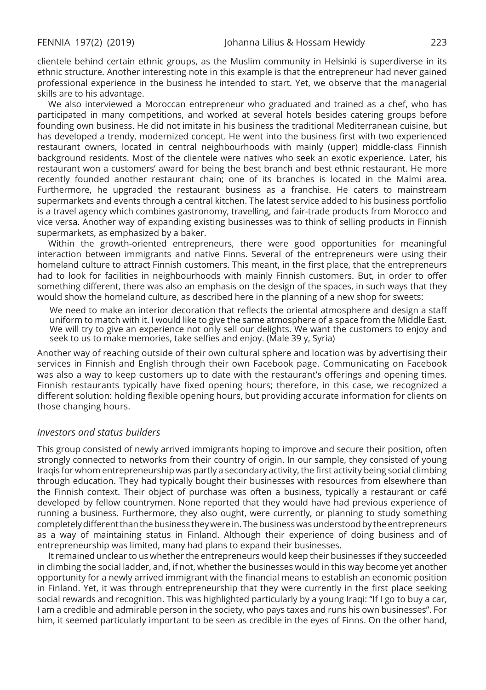clientele behind certain ethnic groups, as the Muslim community in Helsinki is superdiverse in its ethnic structure. Another interesting note in this example is that the entrepreneur had never gained professional experience in the business he intended to start. Yet, we observe that the managerial skills are to his advantage.

We also interviewed a Moroccan entrepreneur who graduated and trained as a chef, who has participated in many competitions, and worked at several hotels besides catering groups before founding own business. He did not imitate in his business the traditional Mediterranean cuisine, but has developed a trendy, modernized concept. He went into the business first with two experienced restaurant owners, located in central neighbourhoods with mainly (upper) middle-class Finnish background residents. Most of the clientele were natives who seek an exotic experience. Later, his restaurant won a customers' award for being the best branch and best ethnic restaurant. He more recently founded another restaurant chain; one of its branches is located in the Malmi area. Furthermore, he upgraded the restaurant business as a franchise. He caters to mainstream supermarkets and events through a central kitchen. The latest service added to his business portfolio is a travel agency which combines gastronomy, travelling, and fair-trade products from Morocco and vice versa. Another way of expanding existing businesses was to think of selling products in Finnish supermarkets, as emphasized by a baker.

Within the growth-oriented entrepreneurs, there were good opportunities for meaningful interaction between immigrants and native Finns. Several of the entrepreneurs were using their homeland culture to attract Finnish customers. This meant, in the first place, that the entrepreneurs had to look for facilities in neighbourhoods with mainly Finnish customers. But, in order to offer something different, there was also an emphasis on the design of the spaces, in such ways that they would show the homeland culture, as described here in the planning of a new shop for sweets:

We need to make an interior decoration that reflects the oriental atmosphere and design a staff uniform to match with it. I would like to give the same atmosphere of a space from the Middle East. We will try to give an experience not only sell our delights. We want the customers to enjoy and seek to us to make memories, take selfies and enjoy. (Male 39 y, Syria)

Another way of reaching outside of their own cultural sphere and location was by advertising their services in Finnish and English through their own Facebook page. Communicating on Facebook was also a way to keep customers up to date with the restaurant's offerings and opening times. Finnish restaurants typically have fixed opening hours; therefore, in this case, we recognized a different solution: holding flexible opening hours, but providing accurate information for clients on those changing hours.

#### *Investors and status builders*

This group consisted of newly arrived immigrants hoping to improve and secure their position, often strongly connected to networks from their country of origin. In our sample, they consisted of young Iraqis for whom entrepreneurship was partly a secondary activity, the first activity being social climbing through education. They had typically bought their businesses with resources from elsewhere than the Finnish context. Their object of purchase was often a business, typically a restaurant or café developed by fellow countrymen. None reported that they would have had previous experience of running a business. Furthermore, they also ought, were currently, or planning to study something completely different than the business they were in. The business was understood by the entrepreneurs as a way of maintaining status in Finland. Although their experience of doing business and of entrepreneurship was limited, many had plans to expand their businesses.

It remained unclear to us whether the entrepreneurs would keep their businesses if they succeeded in climbing the social ladder, and, if not, whether the businesses would in this way become yet another opportunity for a newly arrived immigrant with the financial means to establish an economic position in Finland. Yet, it was through entrepreneurship that they were currently in the first place seeking social rewards and recognition. This was highlighted particularly by a young Iraqi: "If I go to buy a car, I am a credible and admirable person in the society, who pays taxes and runs his own businesses". For him, it seemed particularly important to be seen as credible in the eyes of Finns. On the other hand,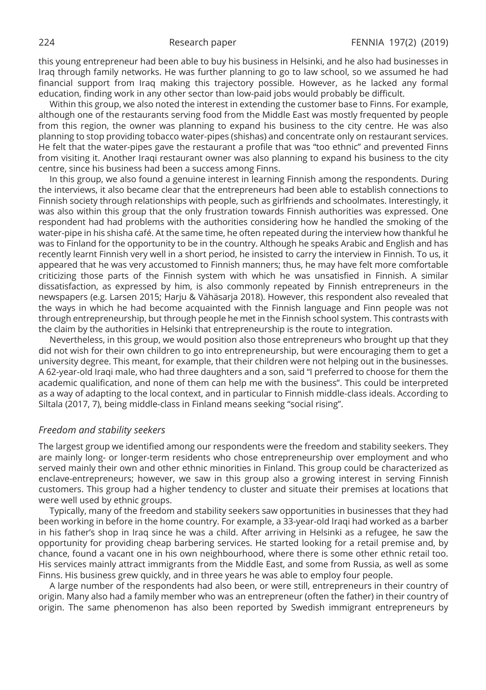this young entrepreneur had been able to buy his business in Helsinki, and he also had businesses in Iraq through family networks. He was further planning to go to law school, so we assumed he had financial support from Iraq making this trajectory possible. However, as he lacked any formal education, finding work in any other sector than low-paid jobs would probably be difficult.

Within this group, we also noted the interest in extending the customer base to Finns. For example, although one of the restaurants serving food from the Middle East was mostly frequented by people from this region, the owner was planning to expand his business to the city centre. He was also planning to stop providing tobacco water-pipes (shishas) and concentrate only on restaurant services. He felt that the water-pipes gave the restaurant a profile that was "too ethnic" and prevented Finns from visiting it. Another Iraqi restaurant owner was also planning to expand his business to the city centre, since his business had been a success among Finns.

In this group, we also found a genuine interest in learning Finnish among the respondents. During the interviews, it also became clear that the entrepreneurs had been able to establish connections to Finnish society through relationships with people, such as girlfriends and schoolmates. Interestingly, it was also within this group that the only frustration towards Finnish authorities was expressed. One respondent had had problems with the authorities considering how he handled the smoking of the water-pipe in his shisha café. At the same time, he often repeated during the interview how thankful he was to Finland for the opportunity to be in the country. Although he speaks Arabic and English and has recently learnt Finnish very well in a short period, he insisted to carry the interview in Finnish. To us, it appeared that he was very accustomed to Finnish manners; thus, he may have felt more comfortable criticizing those parts of the Finnish system with which he was unsatisfied in Finnish. A similar dissatisfaction, as expressed by him, is also commonly repeated by Finnish entrepreneurs in the newspapers (e.g. Larsen 2015; Harju & Vähäsarja 2018). However, this respondent also revealed that the ways in which he had become acquainted with the Finnish language and Finn people was not through entrepreneurship, but through people he met in the Finnish school system. This contrasts with the claim by the authorities in Helsinki that entrepreneurship is the route to integration.

Nevertheless, in this group, we would position also those entrepreneurs who brought up that they did not wish for their own children to go into entrepreneurship, but were encouraging them to get a university degree. This meant, for example, that their children were not helping out in the businesses. A 62-year-old Iraqi male, who had three daughters and a son, said "I preferred to choose for them the academic qualification, and none of them can help me with the business". This could be interpreted as a way of adapting to the local context, and in particular to Finnish middle-class ideals. According to Siltala (2017, 7), being middle-class in Finland means seeking "social rising".

#### *Freedom and stability seekers*

The largest group we identified among our respondents were the freedom and stability seekers. They are mainly long- or longer-term residents who chose entrepreneurship over employment and who served mainly their own and other ethnic minorities in Finland. This group could be characterized as enclave-entrepreneurs; however, we saw in this group also a growing interest in serving Finnish customers. This group had a higher tendency to cluster and situate their premises at locations that were well used by ethnic groups.

Typically, many of the freedom and stability seekers saw opportunities in businesses that they had been working in before in the home country. For example, a 33-year-old Iraqi had worked as a barber in his father's shop in Iraq since he was a child. After arriving in Helsinki as a refugee, he saw the opportunity for providing cheap barbering services. He started looking for a retail premise and, by chance, found a vacant one in his own neighbourhood, where there is some other ethnic retail too. His services mainly attract immigrants from the Middle East, and some from Russia, as well as some Finns. His business grew quickly, and in three years he was able to employ four people.

A large number of the respondents had also been, or were still, entrepreneurs in their country of origin. Many also had a family member who was an entrepreneur (often the father) in their country of origin. The same phenomenon has also been reported by Swedish immigrant entrepreneurs by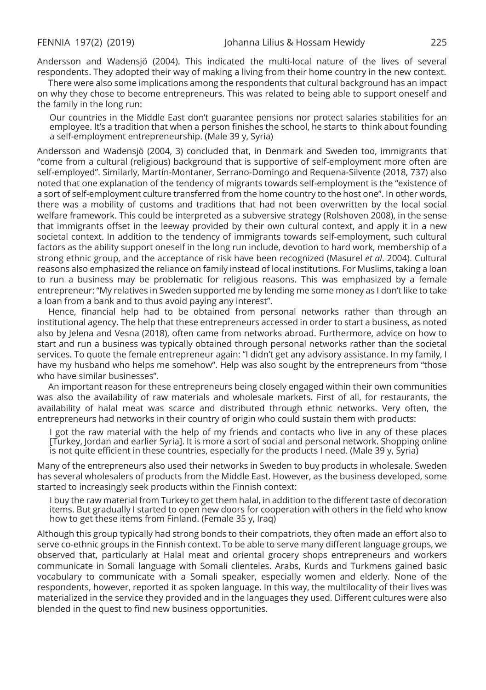Andersson and Wadensjö (2004). This indicated the multi-local nature of the lives of several respondents. They adopted their way of making a living from their home country in the new context.

There were also some implications among the respondents that cultural background has an impact on why they chose to become entrepreneurs. This was related to being able to support oneself and the family in the long run:

Our countries in the Middle East don't guarantee pensions nor protect salaries stabilities for an employee. It's a tradition that when a person finishes the school, he starts to think about founding a self-employment entrepreneurship. (Male 39 y, Syria)

Andersson and Wadensjö (2004, 3) concluded that, in Denmark and Sweden too, immigrants that "come from a cultural (religious) background that is supportive of self-employment more often are self-employed". Similarly, Martín-Montaner, Serrano-Domingo and Requena-Silvente (2018, 737) also noted that one explanation of the tendency of migrants towards self-employment is the "existence of a sort of self-employment culture transferred from the home country to the host one". In other words, there was a mobility of customs and traditions that had not been overwritten by the local social welfare framework. This could be interpreted as a subversive strategy (Rolshoven 2008), in the sense that immigrants offset in the leeway provided by their own cultural context, and apply it in a new societal context. In addition to the tendency of immigrants towards self-employment, such cultural factors as the ability support oneself in the long run include, devotion to hard work, membership of a strong ethnic group, and the acceptance of risk have been recognized (Masurel *et al*. 2004). Cultural reasons also emphasized the reliance on family instead of local institutions. For Muslims, taking a loan to run a business may be problematic for religious reasons. This was emphasized by a female entrepreneur: "My relatives in Sweden supported me by lending me some money as I don't like to take a loan from a bank and to thus avoid paying any interest".

Hence, financial help had to be obtained from personal networks rather than through an institutional agency. The help that these entrepreneurs accessed in order to start a business, as noted also by Jelena and Vesna (2018), often came from networks abroad. Furthermore, advice on how to start and run a business was typically obtained through personal networks rather than the societal services. To quote the female entrepreneur again: "I didn't get any advisory assistance. In my family, I have my husband who helps me somehow". Help was also sought by the entrepreneurs from "those who have similar businesses".

An important reason for these entrepreneurs being closely engaged within their own communities was also the availability of raw materials and wholesale markets. First of all, for restaurants, the availability of halal meat was scarce and distributed through ethnic networks. Very often, the entrepreneurs had networks in their country of origin who could sustain them with products:

I got the raw material with the help of my friends and contacts who live in any of these places [Turkey, Jordan and earlier Syria]. It is more a sort of social and personal network. Shopping online is not quite efficient in these countries, especially for the products I need. (Male 39 y, Syria)

Many of the entrepreneurs also used their networks in Sweden to buy products in wholesale. Sweden has several wholesalers of products from the Middle East. However, as the business developed, some started to increasingly seek products within the Finnish context:

I buy the raw material from Turkey to get them halal, in addition to the different taste of decoration items. But gradually I started to open new doors for cooperation with others in the field who know how to get these items from Finland. (Female 35 y, Iraq)

Although this group typically had strong bonds to their compatriots, they often made an effort also to serve co-ethnic groups in the Finnish context. To be able to serve many different language groups, we observed that, particularly at Halal meat and oriental grocery shops entrepreneurs and workers communicate in Somali language with Somali clienteles. Arabs, Kurds and Turkmens gained basic vocabulary to communicate with a Somali speaker, especially women and elderly. None of the respondents, however, reported it as spoken language. In this way, the multilocality of their lives was materialized in the service they provided and in the languages they used. Different cultures were also blended in the quest to find new business opportunities.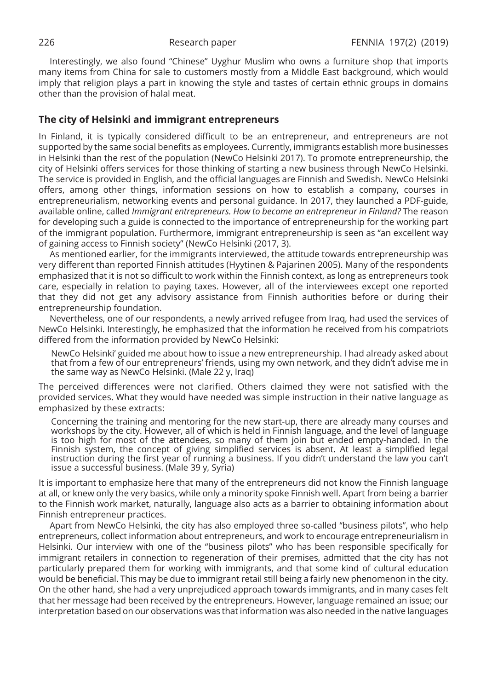Interestingly, we also found "Chinese" Uyghur Muslim who owns a furniture shop that imports many items from China for sale to customers mostly from a Middle East background, which would imply that religion plays a part in knowing the style and tastes of certain ethnic groups in domains other than the provision of halal meat.

# **The city of Helsinki and immigrant entrepreneurs**

In Finland, it is typically considered difficult to be an entrepreneur, and entrepreneurs are not supported by the same social benefits as employees. Currently, immigrants establish more businesses in Helsinki than the rest of the population (NewCo Helsinki 2017). To promote entrepreneurship, the city of Helsinki offers services for those thinking of starting a new business through NewCo Helsinki. The service is provided in English, and the official languages are Finnish and Swedish. NewCo Helsinki offers, among other things, information sessions on how to establish a company, courses in entrepreneurialism, networking events and personal guidance. In 2017, they launched a PDF-guide, available online, called *Immigrant entrepreneurs. How to become an entrepreneur in Finland?* The reason for developing such a guide is connected to the importance of entrepreneurship for the working part of the immigrant population. Furthermore, immigrant entrepreneurship is seen as "an excellent way of gaining access to Finnish society" (NewCo Helsinki (2017, 3).

As mentioned earlier, for the immigrants interviewed, the attitude towards entrepreneurship was very different than reported Finnish attitudes (Hyytinen & Pajarinen 2005). Many of the respondents emphasized that it is not so difficult to work within the Finnish context, as long as entrepreneurs took care, especially in relation to paying taxes. However, all of the interviewees except one reported that they did not get any advisory assistance from Finnish authorities before or during their entrepreneurship foundation.

Nevertheless, one of our respondents, a newly arrived refugee from Iraq, had used the services of NewCo Helsinki. Interestingly, he emphasized that the information he received from his compatriots differed from the information provided by NewCo Helsinki:

NewCo Helsinki' guided me about how to issue a new entrepreneurship. I had already asked about that from a few of our entrepreneurs' friends, using my own network, and they didn't advise me in the same way as NewCo Helsinki. (Male 22 y, Iraq)

The perceived differences were not clarified. Others claimed they were not satisfied with the provided services. What they would have needed was simple instruction in their native language as emphasized by these extracts:

Concerning the training and mentoring for the new start-up, there are already many courses and workshops by the city. However, all of which is held in Finnish language, and the level of language is too high for most of the attendees, so many of them join but ended empty-handed. In the Finnish system, the concept of giving simplified services is absent. At least a simplified legal instruction during the first year of running a business. If you didn't understand the law you can't issue a successful business. (Male 39 y, Syria)

It is important to emphasize here that many of the entrepreneurs did not know the Finnish language at all, or knew only the very basics, while only a minority spoke Finnish well. Apart from being a barrier to the Finnish work market, naturally, language also acts as a barrier to obtaining information about Finnish entrepreneur practices.

Apart from NewCo Helsinki, the city has also employed three so-called "business pilots", who help entrepreneurs, collect information about entrepreneurs, and work to encourage entrepreneurialism in Helsinki. Our interview with one of the "business pilots" who has been responsible specifically for immigrant retailers in connection to regeneration of their premises, admitted that the city has not particularly prepared them for working with immigrants, and that some kind of cultural education would be beneficial. This may be due to immigrant retail still being a fairly new phenomenon in the city. On the other hand, she had a very unprejudiced approach towards immigrants, and in many cases felt that her message had been received by the entrepreneurs. However, language remained an issue; our interpretation based on our observations was that information was also needed in the native languages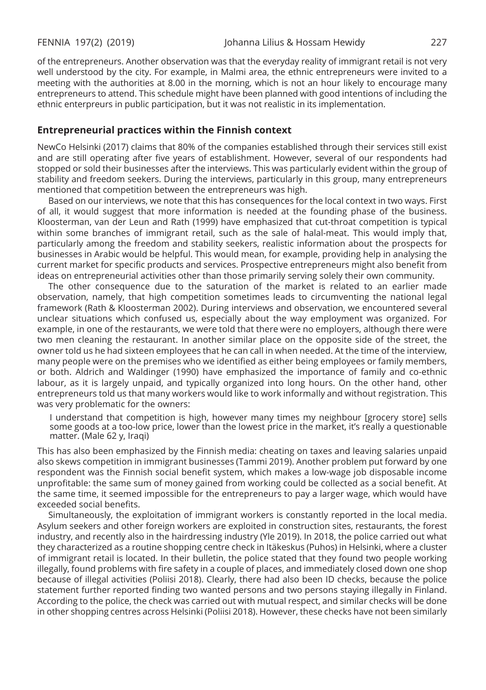of the entrepreneurs. Another observation was that the everyday reality of immigrant retail is not very well understood by the city. For example, in Malmi area, the ethnic entrepreneurs were invited to a meeting with the authorities at 8.00 in the morning, which is not an hour likely to encourage many entrepreneurs to attend. This schedule might have been planned with good intentions of including the ethnic enterpreurs in public participation, but it was not realistic in its implementation.

#### **Entrepreneurial practices within the Finnish context**

NewCo Helsinki (2017) claims that 80% of the companies established through their services still exist and are still operating after five years of establishment. However, several of our respondents had stopped or sold their businesses after the interviews. This was particularly evident within the group of stability and freedom seekers. During the interviews, particularly in this group, many entrepreneurs mentioned that competition between the entrepreneurs was high.

Based on our interviews, we note that this has consequences for the local context in two ways. First of all, it would suggest that more information is needed at the founding phase of the business. Kloosterman, van der Leun and Rath (1999) have emphasized that cut-throat competition is typical within some branches of immigrant retail, such as the sale of halal-meat. This would imply that, particularly among the freedom and stability seekers, realistic information about the prospects for businesses in Arabic would be helpful. This would mean, for example, providing help in analysing the current market for specific products and services. Prospective entrepreneurs might also benefit from ideas on entrepreneurial activities other than those primarily serving solely their own community.

The other consequence due to the saturation of the market is related to an earlier made observation, namely, that high competition sometimes leads to circumventing the national legal framework (Rath & Kloosterman 2002). During interviews and observation, we encountered several unclear situations which confused us, especially about the way employment was organized. For example, in one of the restaurants, we were told that there were no employers, although there were two men cleaning the restaurant. In another similar place on the opposite side of the street, the owner told us he had sixteen employees that he can call in when needed. At the time of the interview, many people were on the premises who we identified as either being employees or family members, or both. Aldrich and Waldinger (1990) have emphasized the importance of family and co-ethnic labour, as it is largely unpaid, and typically organized into long hours. On the other hand, other entrepreneurs told us that many workers would like to work informally and without registration. This was very problematic for the owners:

I understand that competition is high, however many times my neighbour [grocery store] sells some goods at a too-low price, lower than the lowest price in the market, it's really a questionable matter. (Male 62 y, Iraqi)

This has also been emphasized by the Finnish media: cheating on taxes and leaving salaries unpaid also skews competition in immigrant businesses (Tammi 2019). Another problem put forward by one respondent was the Finnish social benefit system, which makes a low-wage job disposable income unprofitable: the same sum of money gained from working could be collected as a social benefit. At the same time, it seemed impossible for the entrepreneurs to pay a larger wage, which would have exceeded social benefits.

Simultaneously, the exploitation of immigrant workers is constantly reported in the local media. Asylum seekers and other foreign workers are exploited in construction sites, restaurants, the forest industry, and recently also in the hairdressing industry (Yle 2019). In 2018, the police carried out what they characterized as a routine shopping centre check in Itäkeskus (Puhos) in Helsinki, where a cluster of immigrant retail is located. In their bulletin, the police stated that they found two people working illegally, found problems with fire safety in a couple of places, and immediately closed down one shop because of illegal activities (Poliisi 2018). Clearly, there had also been ID checks, because the police statement further reported finding two wanted persons and two persons staying illegally in Finland. According to the police, the check was carried out with mutual respect, and similar checks will be done in other shopping centres across Helsinki (Poliisi 2018). However, these checks have not been similarly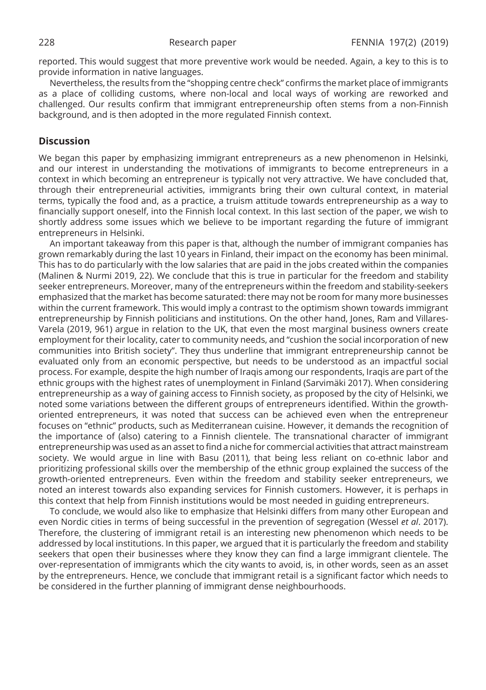reported. This would suggest that more preventive work would be needed. Again, a key to this is to provide information in native languages.

Nevertheless, the results from the "shopping centre check" confirms the market place of immigrants as a place of colliding customs, where non-local and local ways of working are reworked and challenged. Our results confirm that immigrant entrepreneurship often stems from a non-Finnish background, and is then adopted in the more regulated Finnish context.

### **Discussion**

We began this paper by emphasizing immigrant entrepreneurs as a new phenomenon in Helsinki, and our interest in understanding the motivations of immigrants to become entrepreneurs in a context in which becoming an entrepreneur is typically not very attractive. We have concluded that, through their entrepreneurial activities, immigrants bring their own cultural context, in material terms, typically the food and, as a practice, a truism attitude towards entrepreneurship as a way to financially support oneself, into the Finnish local context. In this last section of the paper, we wish to shortly address some issues which we believe to be important regarding the future of immigrant entrepreneurs in Helsinki.

An important takeaway from this paper is that, although the number of immigrant companies has grown remarkably during the last 10 years in Finland, their impact on the economy has been minimal. This has to do particularly with the low salaries that are paid in the jobs created within the companies (Malinen & Nurmi 2019, 22). We conclude that this is true in particular for the freedom and stability seeker entrepreneurs. Moreover, many of the entrepreneurs within the freedom and stability-seekers emphasized that the market has become saturated: there may not be room for many more businesses within the current framework. This would imply a contrast to the optimism shown towards immigrant entrepreneurship by Finnish politicians and institutions. On the other hand, Jones, Ram and Villares-Varela (2019, 961) argue in relation to the UK, that even the most marginal business owners create employment for their locality, cater to community needs, and "cushion the social incorporation of new communities into British society". They thus underline that immigrant entrepreneurship cannot be evaluated only from an economic perspective, but needs to be understood as an impactful social process. For example, despite the high number of Iraqis among our respondents, Iraqis are part of the ethnic groups with the highest rates of unemployment in Finland (Sarvimäki 2017). When considering entrepreneurship as a way of gaining access to Finnish society, as proposed by the city of Helsinki, we noted some variations between the different groups of entrepreneurs identified. Within the growthoriented entrepreneurs, it was noted that success can be achieved even when the entrepreneur focuses on "ethnic" products, such as Mediterranean cuisine. However, it demands the recognition of the importance of (also) catering to a Finnish clientele. The transnational character of immigrant entrepreneurship was used as an asset to find a niche for commercial activities that attract mainstream society. We would argue in line with Basu (2011), that being less reliant on co-ethnic labor and prioritizing professional skills over the membership of the ethnic group explained the success of the growth-oriented entrepreneurs. Even within the freedom and stability seeker entrepreneurs, we noted an interest towards also expanding services for Finnish customers. However, it is perhaps in this context that help from Finnish institutions would be most needed in guiding entrepreneurs.

To conclude, we would also like to emphasize that Helsinki differs from many other European and even Nordic cities in terms of being successful in the prevention of segregation (Wessel *et al*. 2017). Therefore, the clustering of immigrant retail is an interesting new phenomenon which needs to be addressed by local institutions. In this paper, we argued that it is particularly the freedom and stability seekers that open their businesses where they know they can find a large immigrant clientele. The over-representation of immigrants which the city wants to avoid, is, in other words, seen as an asset by the entrepreneurs. Hence, we conclude that immigrant retail is a significant factor which needs to be considered in the further planning of immigrant dense neighbourhoods.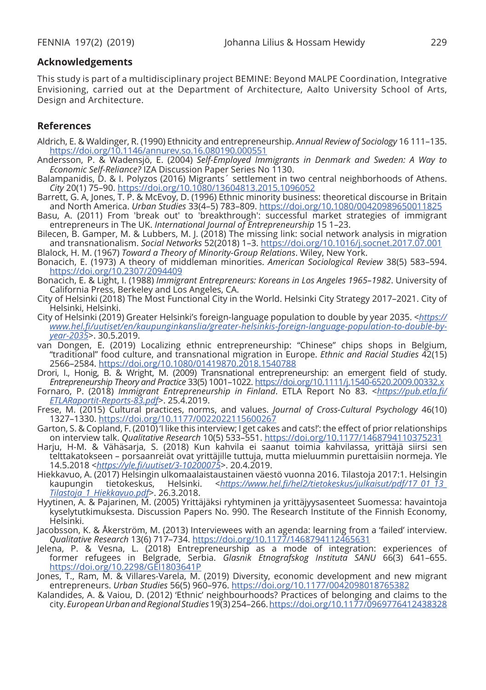### **Acknowledgements**

This study is part of a multidisciplinary project BEMINE: Beyond MALPE Coordination, Integrative Envisioning, carried out at the Department of Architecture, Aalto University School of Arts, Design and Architecture.

# **References**

- Aldrich, E. & Waldinger, R. (1990) Ethnicity and entrepreneurship. *Annual Review of Sociology* 16 111–135. https://doi.org/10.1146/annurev.so.16.080190.000551
- Andersson, P. & Wadensjö, E. (2004) *Self-Employed Immigrants in Denmark and Sweden: A Way to Economic Self-Reliance?* IZA Discussion Paper Series No 1130.
- Balampanidis, D. & I. Polyzos (2016) Migrants´ settlement in two central neighborhoods of Athens. *City* 20(1) 75–90. https://doi.org/10.1080/13604813.2015.1096052
- Barrett, G. A, Jones, T. P. & McEvoy, D. (1996) Ethnic minority business: theoretical discourse in Britain and North America. *Urban Studies* 33(4–5) 783–809. https://doi.org/10.1080/00420989650011825
- Basu, A. (2011) From 'break out' to 'breakthrough': successful market strategies of immigrant entrepreneurs in The UK. *International Journal of Entrepreneurship* 15 1–23.
- Bilecen, B. Gamper, M. & Lubbers, M. J. (2018) The missing link: social network analysis in migration and transnationalism. *Social Networks* 52(2018) 1–3. https://doi.org/10.1016/j.socnet.2017.07.001 Blalock, H. M. (1967) *Toward a Theory of Minority-Group Relations*. Wiley, New York.
- Bonacich, E. (1973) A theory of middleman minorities. *American Sociological Review* 38(5) 583–594. https://doi.org/10.2307/2094409
- Bonacich, E. & Light, I. (1988) *Immigrant Entrepreneurs: Koreans in Los Angeles 1965–1982*. University of California Press, Berkeley and Los Angeles, CA.
- City of Helsinki (2018) The Most Functional City in the World. Helsinki City Strategy 2017–2021. City of Helsinki, Helsinki.
- City of Helsinki (2019) Greater Helsinki's foreign-language population to double by year 2035. <*https:// www.hel.fi/uutiset/en/kaupunginkanslia/greater-helsinkis-foreign-language-population-to-double-byyear-2035*>. 30.5.2019.
- van Dongen, E. (2019) Localizing ethnic entrepreneurship: "Chinese" chips shops in Belgium, "traditional" food culture, and transnational migration in Europe. *Ethnic and Racial Studies* 42(15) 2566–2584. https://doi.org/10.1080/01419870.2018.1540788
- Drori, I., Honig, B. & Wright, M. (2009) Transnational entrepreneurship: an emergent field of study. *Entrepreneurship Theory and Practice* 33(5) 1001–1022. https://doi.org/10.1111/j.1540-6520.2009.00332.x
- Fornaro, P. (2018) *Immigrant Entrepreneurship in Finland*. ETLA Report No 83. <*https://pub.etla.fi/ ETLARaportit-Reports-83.pdf*>. 25.4.2019.
- Frese, M. (2015) Cultural practices, norms, and values. *Journal of Cross-Cultural Psychology* 46(10) 1327–1330. https://doi.org/10.1177/0022022115600267
- Garton, S. & Copland, F. (2010) 'I like this interview; I get cakes and cats!': the effect of prior relationships on interview talk. *Qualitative Research* 10(5) 533–551. https://doi.org/10.1177/1468794110375231
- Harju, H-M. & Vähäsarja, S. (2018) Kun kahvila ei saanut toimia kahvilassa, yrittäjä siirsi sen telttakatokseen – porsaanreiät ovat yrittäjille tuttuja, mutta mieluummin purettaisiin normeja. Yle 14.5.2018 <*https://yle.fi/uutiset/3-10200075*>. 20.4.2019.
- Hiekkavuo, A. (2017) Helsingin ulkomaalaistaustainen väestö vuonna 2016. Tilastoja 2017:1. Helsingin<br>kaupungin tietokeskus, Helsinki. <https://www.hel.fi/hel2/tietokeskus/julkaisut/pdf/17\_01\_13\_ kaupungin tietokeskus, Helsinki. <*https://www.hel.fi/hel2/tietokeskus/julkaisut/pdf/17\_01\_13\_ Tilastoja\_1\_Hiekkavuo.pdf*>. 26.3.2018.
- Hyytinen, A. & Pajarinen, M. (2005) Yrittäjäksi ryhtyminen ja yrittäjyysasenteet Suomessa: havaintoja kyselytutkimuksesta. Discussion Papers No. 990. The Research Institute of the Finnish Economy, Helsinki.
- Jacobsson, K. & Åkerström, M. (2013) Interviewees with an agenda: learning from a 'failed' interview. *Qualitative Research* 13(6) 717–734. https://doi.org/10.1177/1468794112465631
- Jelena, P. & Vesna, L. (2018) Entrepreneurship as a mode of integration: experiences of former refugees in Belgrade, Serbia. *Glasnik Etnografskog Instituta SANU* 66(3) 641–655. https://doi.org/10.2298/GEI1803641P
- Jones, T., Ram, M. & Villares-Varela, M. (2019) Diversity, economic development and new migrant entrepreneurs. *Urban Studies* 56(5) 960–976. https://doi.org/10.1177/0042098018765382
- Kalandides, A. & Vaiou, D. (2012) 'Ethnic' neighbourhoods? Practices of belonging and claims to the city. *European Urban and Regional Studies* 19(3) 254–266. https://doi.org/10.1177/0969776412438328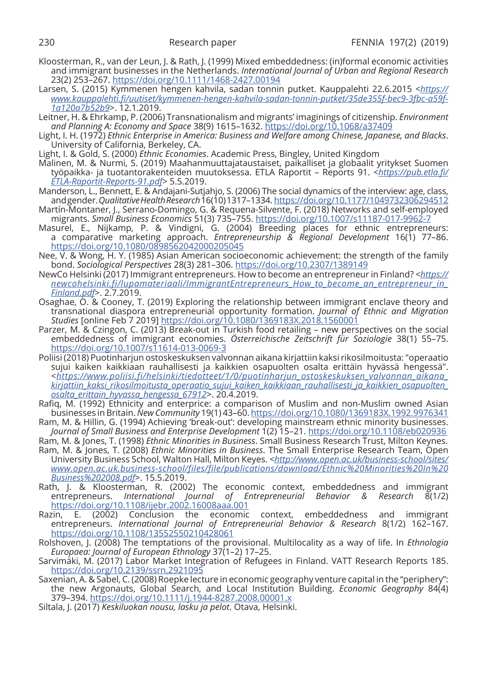- Kloosterman, R., van der Leun, J. & Rath, J. (1999) Mixed embeddedness: (in)formal economic activities and immigrant businesses in the Netherlands. *International Journal of Urban and Regional Research* 23(2) 253–267. https://doi.org/10.1111/1468-2427.00194
- Larsen, S. (2015) Kymmenen hengen kahvila, sadan tonnin putket. Kauppalehti 22.6.2015 <*https:// www.kauppalehti.fi/uutiset/kymmenen-hengen-kahvila-sadan-tonnin-putket/35de355f-bec9-3fbc-a59f-1a120a7b52b9*>. 12.1.2019.
- Leitner, H. & Ehrkamp, P. (2006) Transnationalism and migrants' imaginings of citizenship. *Environment and Planning A: Economy and Space* 38(9) 1615–1632. https://doi.org/10.1068/a37409
- Light, I. H. (1972) *Ethnic Enterprise in America: Business and Welfare among Chinese, Japanese, and Blacks*. University of California, Berkeley, CA.
- Light, I. & Gold, S. (2000) *Ethnic Economies*. Academic Press, Bingley, United Kingdom
- Malinen, M. & Nurmi, S. (2019) Maahanmuuttajataustaiset, paikalliset ja globaalit yritykset Suomen työpaikka- ja tuotantorakenteiden muutoksessa. ETLA Raportit – Reports 91. <*https://pub.etla.fi/ ETLA-Raportit-Reports-91.pdf*> 5.5.2019.
- Manderson, L., Bennett, E. & Andajani-Sutjahjo, S. (2006) The social dynamics of the interview: age, class, and gender. *Qualitative Health Research* 16(10) 1317–1334. https://doi.org/10.1177/1049732306294512
- Martín-Montaner, J., Serrano-Domingo, G. & Requena-Silvente, F. (2018) Networks and self-employed migrants. *Small Business Economics* 51(3) 735–755. https://doi.org/10.1007/s11187-017-9962-7
- Masurel, E., Nijkamp, P. & Vindigni, G. (2004) Breeding places for ethnic entrepreneurs: a comparative marketing approach. *Entrepreneurship & Regional Development* 16(1) 77–86. https://doi.org/10.1080/0898562042000205045
- Nee, V. & Wong, H. Y. (1985) Asian American socioeconomic achievement: the strength of the family bond. *Sociological Perspectives* 28(3) 281–306. https://doi.org/10.2307/1389149
- NewCo Helsinki (2017) Immigrant entrepreneurs. How to become an entrepreneur in Finland? <*https:// newcohelsinki.fi/lupamateriaali/ImmigrantEntrepreneurs\_How\_to\_become\_an\_entrepreneur\_in\_ Finland.pdf*>. 2.7.2019.
- Osaghae, O. & Cooney, T. (2019) Exploring the relationship between immigrant enclave theory and transnational diaspora entrepreneurial opportunity formation. *Journal of Ethnic and Migration Studies* [online Feb 7 2019] https://doi.org/10.1080/1369183X.2018.1560001
- Parzer, M. & Czingon, C. (2013) Break-out in Turkish food retailing new perspectives on the social embeddedness of immigrant economies. *Österreichische Zeitschrift für Soziologie* 38(1) 55–75. https://doi.org/10.1007/s11614-013-0069-3
- Poliisi (2018) Puotinharjun ostoskeskuksen valvonnan aikana kirjattiin kaksi rikosilmoitusta: "operaatio sujui kaiken kaikkiaan rauhallisesti ja kaikkien osapuolten osalta erittäin hyvässä hengessä". <*https://www.poliisi.fi/helsinki/tiedotteet/1/0/puotinharjun\_ostoskeskuksen\_valvonnan\_aikana\_ kirjattiin\_kaksi\_rikosilmoitusta\_operaatio\_sujui\_kaiken\_kaikkiaan\_rauhallisesti\_ja\_kaikkien\_osapuolten\_ osalta\_erittain\_hyvassa\_hengessa\_67912*>. 20.4.2019.
- Rafiq, M. (1992) Ethnicity and enterprice: a comparison of Muslim and non-Muslim owned Asian businesses in Britain. *New Community* 19(1) 43–60. https://doi.org/10.1080/1369183X.1992.9976341
- Ram, M. & Hillin, G. (1994) Achieving 'break-out': developing mainstream ethnic minority businesses. *Journal of Small Business and Enterprise Development* 1(2) 15–21. https://doi.org/10.1108/eb020936
- Ram, M. & Jones, T. (1998) *Ethnic Minorities in Business*. Small Business Research Trust, Milton Keynes. Ram, M. & Jones, T. (2008) *Ethnic Minorities in Business*. The Small Enterprise Research Team, Open University Business School, Walton Hall, Milton Keyes. <*http://www.open.ac.uk/business-school/sites/ www.open.ac.uk.business-school/files/file/publications/download/Ethnic%20Minorities%20In%20*
- *Business%202008.pdf*>. 15.5.2019. Rath, J. & Kloosterman, R. (2002) The economic context, embeddedness and immigrant entrepreneurs. *International Journal of Entrepreneurial Behavior & Research* 8(1/2) https://doi.org/10.1108/ijebr.2002.16008aaa.001
- Razin, E. (2002) Conclusion the economic context, embeddedness and immigrant entrepreneurs. *International Journal of Entrepreneurial Behavior & Research* 8(1/2) 162–167. https://doi.org/10.1108/13552550210428061
- Rolshoven, J. (2008) The temptations of the provisional. Multilocality as a way of life. In *Ethnologia Europaea: Journal of European Ethnology* 37(1–2) 17–25.
- Sarvimäki, M. (2017) Labor Market Integration of Refugees in Finland. VATT Research Reports 185. https://doi.org/10.2139/ssrn.2921095
- Saxenian, A. & Sabel, C. (2008) Roepke lecture in economic geography venture capital in the "periphery": the new Argonauts, Global Search, and Local Institution Building. *Economic Geography* 84(4) 379–394. https://doi.org/10.1111/j.1944-8287.2008.00001.x
- Siltala, J. (2017) *Keskiluokan nousu, lasku ja pelot*. Otava, Helsinki.